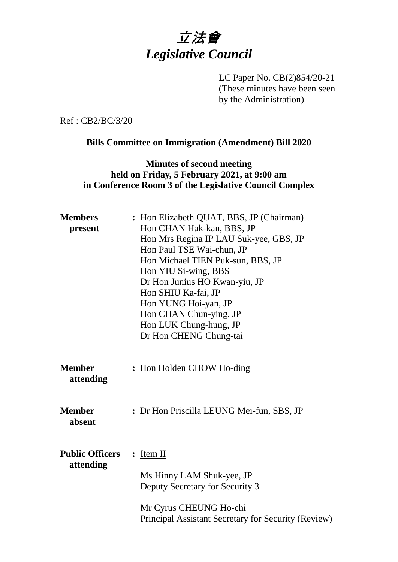

LC Paper No. CB(2)854/20-21 (These minutes have been seen by the Administration)

Ref : CB2/BC/3/20

#### **Bills Committee on Immigration (Amendment) Bill 2020**

### **Minutes of second meeting held on Friday, 5 February 2021, at 9:00 am in Conference Room 3 of the Legislative Council Complex**

| <b>Members</b><br>present           | : Hon Elizabeth QUAT, BBS, JP (Chairman)<br>Hon CHAN Hak-kan, BBS, JP<br>Hon Mrs Regina IP LAU Suk-yee, GBS, JP<br>Hon Paul TSE Wai-chun, JP<br>Hon Michael TIEN Puk-sun, BBS, JP<br>Hon YIU Si-wing, BBS<br>Dr Hon Junius HO Kwan-yiu, JP<br>Hon SHIU Ka-fai, JP<br>Hon YUNG Hoi-yan, JP<br>Hon CHAN Chun-ying, JP<br>Hon LUK Chung-hung, JP<br>Dr Hon CHENG Chung-tai |
|-------------------------------------|-------------------------------------------------------------------------------------------------------------------------------------------------------------------------------------------------------------------------------------------------------------------------------------------------------------------------------------------------------------------------|
| <b>Member</b><br>attending          | : Hon Holden CHOW Ho-ding                                                                                                                                                                                                                                                                                                                                               |
| <b>Member</b><br>absent             | : Dr Hon Priscilla LEUNG Mei-fun, SBS, JP                                                                                                                                                                                                                                                                                                                               |
| <b>Public Officers</b><br>attending | $:$ Item II<br>Ms Hinny LAM Shuk-yee, JP<br>Deputy Secretary for Security 3<br>Mr Cyrus CHEUNG Ho-chi<br>Principal Assistant Secretary for Security (Review)                                                                                                                                                                                                            |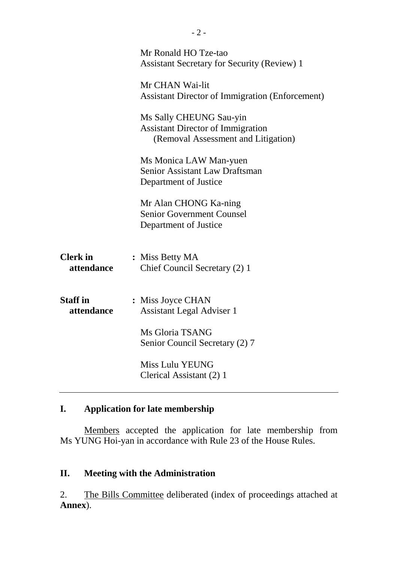|                               | Mr Ronald HO Tze-tao<br><b>Assistant Secretary for Security (Review) 1</b>                                 |
|-------------------------------|------------------------------------------------------------------------------------------------------------|
|                               | Mr CHAN Wai-lit<br><b>Assistant Director of Immigration (Enforcement)</b>                                  |
|                               | Ms Sally CHEUNG Sau-yin<br><b>Assistant Director of Immigration</b><br>(Removal Assessment and Litigation) |
|                               | Ms Monica LAW Man-yuen<br><b>Senior Assistant Law Draftsman</b><br>Department of Justice                   |
|                               | Mr Alan CHONG Ka-ning<br><b>Senior Government Counsel</b><br>Department of Justice                         |
| <b>Clerk</b> in<br>attendance | : Miss Betty MA<br>Chief Council Secretary (2) 1                                                           |
| <b>Staff</b> in<br>attendance | : Miss Joyce CHAN<br><b>Assistant Legal Adviser 1</b>                                                      |
|                               | Ms Gloria TSANG<br>Senior Council Secretary (2) 7                                                          |
|                               | <b>Miss Lulu YEUNG</b><br>Clerical Assistant (2) 1                                                         |

# **I. Application for late membership**

Members accepted the application for late membership from Ms YUNG Hoi-yan in accordance with Rule 23 of the House Rules.

# **II. Meeting with the Administration**

2. The Bills Committee deliberated (index of proceedings attached at **Annex**).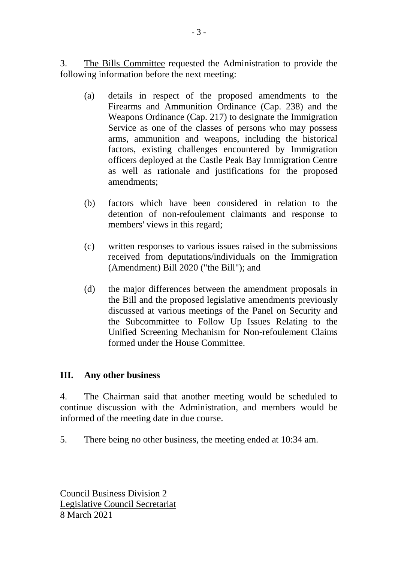3. The Bills Committee requested the Administration to provide the following information before the next meeting:

- (a) details in respect of the proposed amendments to the Firearms and Ammunition Ordinance (Cap. 238) and the Weapons Ordinance (Cap. 217) to designate the Immigration Service as one of the classes of persons who may possess arms, ammunition and weapons, including the historical factors, existing challenges encountered by Immigration officers deployed at the Castle Peak Bay Immigration Centre as well as rationale and justifications for the proposed amendments;
- (b) factors which have been considered in relation to the detention of non-refoulement claimants and response to members' views in this regard;
- (c) written responses to various issues raised in the submissions received from deputations/individuals on the Immigration (Amendment) Bill 2020 ("the Bill"); and
- (d) the major differences between the amendment proposals in the Bill and the proposed legislative amendments previously discussed at various meetings of the Panel on Security and the Subcommittee to Follow Up Issues Relating to the Unified Screening Mechanism for Non-refoulement Claims formed under the House Committee.

#### **III. Any other business**

4. The Chairman said that another meeting would be scheduled to continue discussion with the Administration, and members would be informed of the meeting date in due course.

5. There being no other business, the meeting ended at 10:34 am.

Council Business Division 2 Legislative Council Secretariat 8 March 2021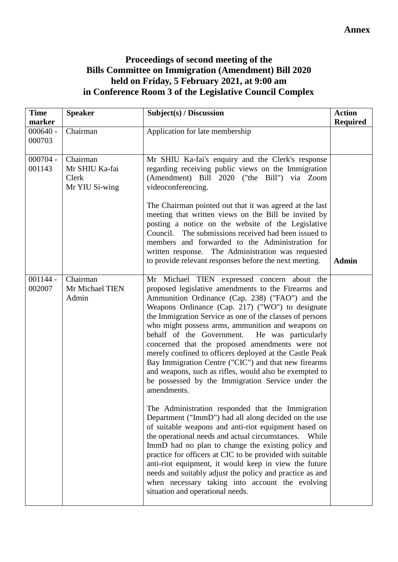## **Proceedings of second meeting of the Bills Committee on Immigration (Amendment) Bill 2020 held on Friday, 5 February 2021, at 9:00 am in Conference Room 3 of the Legislative Council Complex**

| <b>Time</b>                    | <b>Speaker</b>                                        | Subject(s) / Discussion                                                                                                                                                                                                                                                                                                                                                                                                                                                                                                                                                                                                                                                            | <b>Action</b>   |
|--------------------------------|-------------------------------------------------------|------------------------------------------------------------------------------------------------------------------------------------------------------------------------------------------------------------------------------------------------------------------------------------------------------------------------------------------------------------------------------------------------------------------------------------------------------------------------------------------------------------------------------------------------------------------------------------------------------------------------------------------------------------------------------------|-----------------|
| marker<br>$000640 -$<br>000703 | Chairman                                              | Application for late membership                                                                                                                                                                                                                                                                                                                                                                                                                                                                                                                                                                                                                                                    | <b>Required</b> |
| $000704 -$<br>001143           | Chairman<br>Mr SHIU Ka-fai<br>Clerk<br>Mr YIU Si-wing | Mr SHIU Ka-fai's enquiry and the Clerk's response<br>regarding receiving public views on the Immigration<br>(Amendment) Bill 2020 ("the Bill") via Zoom<br>videoconferencing.<br>The Chairman pointed out that it was agreed at the last                                                                                                                                                                                                                                                                                                                                                                                                                                           |                 |
|                                |                                                       | meeting that written views on the Bill be invited by<br>posting a notice on the website of the Legislative<br>The submissions received had been issued to<br>Council.<br>members and forwarded to the Administration for<br>written response. The Administration was requested<br>to provide relevant responses before the next meeting.                                                                                                                                                                                                                                                                                                                                           | <b>Admin</b>    |
| $001144 -$<br>002007           | Chairman<br>Mr Michael TIEN<br>Admin                  | Mr Michael TIEN expressed concern about the<br>proposed legislative amendments to the Firearms and<br>Ammunition Ordinance (Cap. 238) ("FAO") and the<br>Weapons Ordinance (Cap. 217) ("WO") to designate<br>the Immigration Service as one of the classes of persons<br>who might possess arms, ammunition and weapons on<br>behalf of the Government.<br>He was particularly<br>concerned that the proposed amendments were not<br>merely confined to officers deployed at the Castle Peak<br>Bay Immigration Centre ("CIC") and that new firearms<br>and weapons, such as rifles, would also be exempted to<br>be possessed by the Immigration Service under the<br>amendments. |                 |
|                                |                                                       | The Administration responded that the Immigration<br>Department ("ImmD") had all along decided on the use<br>of suitable weapons and anti-riot equipment based on<br>the operational needs and actual circumstances. While<br>ImmD had no plan to change the existing policy and<br>practice for officers at CIC to be provided with suitable<br>anti-riot equipment, it would keep in view the future<br>needs and suitably adjust the policy and practice as and<br>when necessary taking into account the evolving<br>situation and operational needs.                                                                                                                          |                 |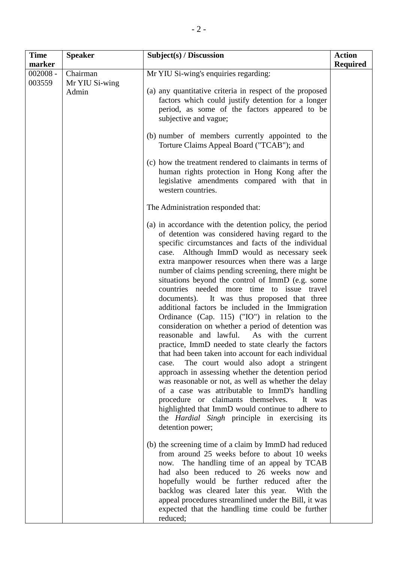| <b>Time</b><br>marker | <b>Speaker</b>                      | Subject(s) / Discussion                                                                                                                                                                                                                                                                                                                                                                                                                                                                                                                                                                                                                                                                                                                                                                                                                                                                                                                                                                                                                                                                                                                                                                                                                                                                                                                                                                                                                                                                              | <b>Action</b><br><b>Required</b> |
|-----------------------|-------------------------------------|------------------------------------------------------------------------------------------------------------------------------------------------------------------------------------------------------------------------------------------------------------------------------------------------------------------------------------------------------------------------------------------------------------------------------------------------------------------------------------------------------------------------------------------------------------------------------------------------------------------------------------------------------------------------------------------------------------------------------------------------------------------------------------------------------------------------------------------------------------------------------------------------------------------------------------------------------------------------------------------------------------------------------------------------------------------------------------------------------------------------------------------------------------------------------------------------------------------------------------------------------------------------------------------------------------------------------------------------------------------------------------------------------------------------------------------------------------------------------------------------------|----------------------------------|
| $002008 -$<br>003559  | Chairman<br>Mr YIU Si-wing<br>Admin | Mr YIU Si-wing's enquiries regarding:<br>(a) any quantitative criteria in respect of the proposed<br>factors which could justify detention for a longer<br>period, as some of the factors appeared to be<br>subjective and vague;<br>(b) number of members currently appointed to the<br>Torture Claims Appeal Board ("TCAB"); and                                                                                                                                                                                                                                                                                                                                                                                                                                                                                                                                                                                                                                                                                                                                                                                                                                                                                                                                                                                                                                                                                                                                                                   |                                  |
|                       |                                     | (c) how the treatment rendered to claimants in terms of<br>human rights protection in Hong Kong after the<br>legislative amendments compared with that in<br>western countries.                                                                                                                                                                                                                                                                                                                                                                                                                                                                                                                                                                                                                                                                                                                                                                                                                                                                                                                                                                                                                                                                                                                                                                                                                                                                                                                      |                                  |
|                       |                                     | The Administration responded that:<br>(a) in accordance with the detention policy, the period<br>of detention was considered having regard to the<br>specific circumstances and facts of the individual<br>case. Although ImmD would as necessary seek<br>extra manpower resources when there was a large<br>number of claims pending screening, there might be<br>situations beyond the control of ImmD (e.g. some<br>countries needed more time to issue travel<br>documents). It was thus proposed that three<br>additional factors be included in the Immigration<br>Ordinance (Cap. 115) ("IO") in relation to the<br>consideration on whether a period of detention was<br>reasonable and lawful.<br>As with the current<br>practice, ImmD needed to state clearly the factors<br>that had been taken into account for each individual<br>The court would also adopt a stringent<br>case.<br>approach in assessing whether the detention period<br>was reasonable or not, as well as whether the delay<br>of a case was attributable to ImmD's handling<br>procedure or claimants themselves.<br>It was<br>highlighted that ImmD would continue to adhere to<br>the <i>Hardial</i> Singh principle in exercising its<br>detention power;<br>(b) the screening time of a claim by ImmD had reduced<br>from around 25 weeks before to about 10 weeks<br>now. The handling time of an appeal by TCAB<br>had also been reduced to 26 weeks now and<br>hopefully would be further reduced after the |                                  |
|                       |                                     | backlog was cleared later this year. With the<br>appeal procedures streamlined under the Bill, it was<br>expected that the handling time could be further<br>reduced;                                                                                                                                                                                                                                                                                                                                                                                                                                                                                                                                                                                                                                                                                                                                                                                                                                                                                                                                                                                                                                                                                                                                                                                                                                                                                                                                |                                  |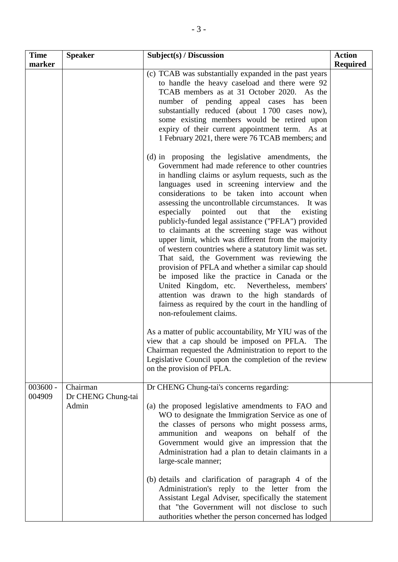| <b>Time</b>          | <b>Speaker</b>                          | Subject(s) / Discussion                                                                                                                                                                                                                                                                                                                                                                                                                                                                                                                                                                                                                                                                                                                                                                                                                                                                                                                                                                                                                                                                                       | <b>Action</b>   |
|----------------------|-----------------------------------------|---------------------------------------------------------------------------------------------------------------------------------------------------------------------------------------------------------------------------------------------------------------------------------------------------------------------------------------------------------------------------------------------------------------------------------------------------------------------------------------------------------------------------------------------------------------------------------------------------------------------------------------------------------------------------------------------------------------------------------------------------------------------------------------------------------------------------------------------------------------------------------------------------------------------------------------------------------------------------------------------------------------------------------------------------------------------------------------------------------------|-----------------|
| marker               |                                         |                                                                                                                                                                                                                                                                                                                                                                                                                                                                                                                                                                                                                                                                                                                                                                                                                                                                                                                                                                                                                                                                                                               | <b>Required</b> |
|                      |                                         | (c) TCAB was substantially expanded in the past years<br>to handle the heavy caseload and there were 92<br>TCAB members as at 31 October 2020. As the<br>number of pending appeal cases has been<br>substantially reduced (about 1700 cases now),<br>some existing members would be retired upon<br>expiry of their current appointment term. As at<br>1 February 2021, there were 76 TCAB members; and                                                                                                                                                                                                                                                                                                                                                                                                                                                                                                                                                                                                                                                                                                       |                 |
|                      |                                         | (d) in proposing the legislative amendments, the<br>Government had made reference to other countries<br>in handling claims or asylum requests, such as the<br>languages used in screening interview and the<br>considerations to be taken into account when<br>assessing the uncontrollable circumstances. It was<br>especially pointed out that<br>the<br>existing<br>publicly-funded legal assistance ("PFLA") provided<br>to claimants at the screening stage was without<br>upper limit, which was different from the majority<br>of western countries where a statutory limit was set.<br>That said, the Government was reviewing the<br>provision of PFLA and whether a similar cap should<br>be imposed like the practice in Canada or the<br>United Kingdom, etc. Nevertheless, members'<br>attention was drawn to the high standards of<br>fairness as required by the court in the handling of<br>non-refoulement claims.<br>As a matter of public accountability, Mr YIU was of the<br>view that a cap should be imposed on PFLA.<br>The<br>Chairman requested the Administration to report to the |                 |
|                      |                                         | Legislative Council upon the completion of the review<br>on the provision of PFLA.                                                                                                                                                                                                                                                                                                                                                                                                                                                                                                                                                                                                                                                                                                                                                                                                                                                                                                                                                                                                                            |                 |
| $003600 -$<br>004909 | Chairman<br>Dr CHENG Chung-tai<br>Admin | Dr CHENG Chung-tai's concerns regarding:<br>(a) the proposed legislative amendments to FAO and<br>WO to designate the Immigration Service as one of<br>the classes of persons who might possess arms,<br>ammunition and weapons on behalf of the<br>Government would give an impression that the<br>Administration had a plan to detain claimants in a<br>large-scale manner;                                                                                                                                                                                                                                                                                                                                                                                                                                                                                                                                                                                                                                                                                                                                 |                 |
|                      |                                         | (b) details and clarification of paragraph 4 of the<br>Administration's reply to the letter from the<br>Assistant Legal Adviser, specifically the statement<br>that "the Government will not disclose to such<br>authorities whether the person concerned has lodged                                                                                                                                                                                                                                                                                                                                                                                                                                                                                                                                                                                                                                                                                                                                                                                                                                          |                 |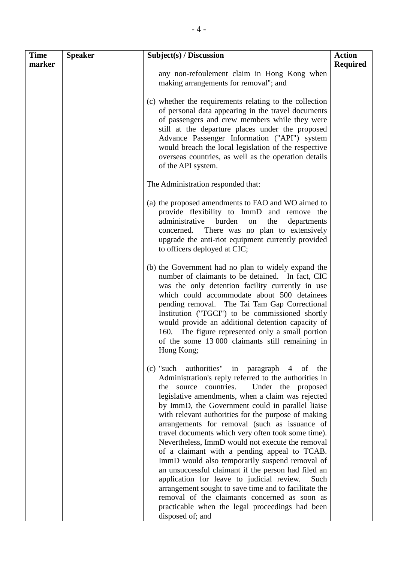| <b>Time</b><br>marker | <b>Speaker</b> | Subject(s) / Discussion                                                                                                                                                                                                                                                                                                                                                                                                                                                                                                                                                                                                                                                                                                                                                                                                                                                                                    | <b>Action</b><br><b>Required</b> |
|-----------------------|----------------|------------------------------------------------------------------------------------------------------------------------------------------------------------------------------------------------------------------------------------------------------------------------------------------------------------------------------------------------------------------------------------------------------------------------------------------------------------------------------------------------------------------------------------------------------------------------------------------------------------------------------------------------------------------------------------------------------------------------------------------------------------------------------------------------------------------------------------------------------------------------------------------------------------|----------------------------------|
|                       |                | any non-refoulement claim in Hong Kong when<br>making arrangements for removal"; and                                                                                                                                                                                                                                                                                                                                                                                                                                                                                                                                                                                                                                                                                                                                                                                                                       |                                  |
|                       |                | (c) whether the requirements relating to the collection<br>of personal data appearing in the travel documents<br>of passengers and crew members while they were<br>still at the departure places under the proposed<br>Advance Passenger Information ("API") system<br>would breach the local legislation of the respective<br>overseas countries, as well as the operation details<br>of the API system.                                                                                                                                                                                                                                                                                                                                                                                                                                                                                                  |                                  |
|                       |                | The Administration responded that:                                                                                                                                                                                                                                                                                                                                                                                                                                                                                                                                                                                                                                                                                                                                                                                                                                                                         |                                  |
|                       |                | (a) the proposed amendments to FAO and WO aimed to<br>provide flexibility to ImmD and remove the<br>burden<br>administrative<br>the<br>departments<br>on<br>concerned. There was no plan to extensively<br>upgrade the anti-riot equipment currently provided<br>to officers deployed at CIC;                                                                                                                                                                                                                                                                                                                                                                                                                                                                                                                                                                                                              |                                  |
|                       |                | (b) the Government had no plan to widely expand the<br>number of claimants to be detained. In fact, CIC<br>was the only detention facility currently in use<br>which could accommodate about 500 detainees<br>pending removal. The Tai Tam Gap Correctional<br>Institution ("TGCI") to be commissioned shortly<br>would provide an additional detention capacity of<br>160. The figure represented only a small portion<br>of the some 13 000 claimants still remaining in<br>Hong Kong;                                                                                                                                                                                                                                                                                                                                                                                                                   |                                  |
|                       |                | (c) "such authorities"<br>in paragraph<br>of<br>$\overline{4}$<br>the<br>Administration's reply referred to the authorities in<br>source countries.<br>Under the proposed<br>the<br>legislative amendments, when a claim was rejected<br>by ImmD, the Government could in parallel liaise<br>with relevant authorities for the purpose of making<br>arrangements for removal (such as issuance of<br>travel documents which very often took some time).<br>Nevertheless, ImmD would not execute the removal<br>of a claimant with a pending appeal to TCAB.<br>ImmD would also temporarily suspend removal of<br>an unsuccessful claimant if the person had filed an<br>application for leave to judicial review.<br>Such<br>arrangement sought to save time and to facilitate the<br>removal of the claimants concerned as soon as<br>practicable when the legal proceedings had been<br>disposed of; and |                                  |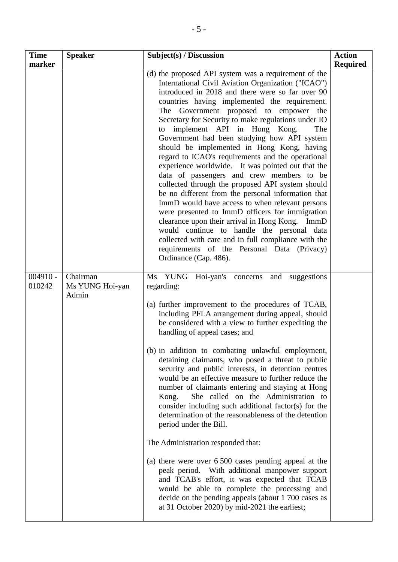| <b>Time</b><br>marker | <b>Speaker</b>                       | Subject(s) / Discussion                                                                                                                                                                                                                                                                                                                                                                                                                                                                                                                                                                                                                                                                                                                                                                                                                                                                                                                                                                                                                                                                        | <b>Action</b><br><b>Required</b> |
|-----------------------|--------------------------------------|------------------------------------------------------------------------------------------------------------------------------------------------------------------------------------------------------------------------------------------------------------------------------------------------------------------------------------------------------------------------------------------------------------------------------------------------------------------------------------------------------------------------------------------------------------------------------------------------------------------------------------------------------------------------------------------------------------------------------------------------------------------------------------------------------------------------------------------------------------------------------------------------------------------------------------------------------------------------------------------------------------------------------------------------------------------------------------------------|----------------------------------|
|                       |                                      | (d) the proposed API system was a requirement of the<br>International Civil Aviation Organization ("ICAO")<br>introduced in 2018 and there were so far over 90<br>countries having implemented the requirement.<br>The Government proposed to empower the<br>Secretary for Security to make regulations under IO<br>implement API in Hong Kong.<br>The<br>to<br>Government had been studying how API system<br>should be implemented in Hong Kong, having<br>regard to ICAO's requirements and the operational<br>experience worldwide. It was pointed out that the<br>data of passengers and crew members to be<br>collected through the proposed API system should<br>be no different from the personal information that<br>ImmD would have access to when relevant persons<br>were presented to ImmD officers for immigration<br>clearance upon their arrival in Hong Kong. ImmD<br>would continue to handle the personal data<br>collected with care and in full compliance with the<br>requirements of the Personal Data (Privacy)<br>Ordinance (Cap. 486).                               |                                  |
| $004910 -$<br>010242  | Chairman<br>Ms YUNG Hoi-yan<br>Admin | Ms YUNG<br>Hoi-yan's concerns<br>and suggestions<br>regarding:<br>(a) further improvement to the procedures of TCAB,<br>including PFLA arrangement during appeal, should<br>be considered with a view to further expediting the<br>handling of appeal cases; and<br>(b) in addition to combating unlawful employment,<br>detaining claimants, who posed a threat to public<br>security and public interests, in detention centres<br>would be an effective measure to further reduce the<br>number of claimants entering and staying at Hong<br>She called on the Administration to<br>Kong.<br>consider including such additional factor(s) for the<br>determination of the reasonableness of the detention<br>period under the Bill.<br>The Administration responded that:<br>(a) there were over 6 500 cases pending appeal at the<br>peak period. With additional manpower support<br>and TCAB's effort, it was expected that TCAB<br>would be able to complete the processing and<br>decide on the pending appeals (about 1 700 cases as<br>at 31 October 2020) by mid-2021 the earliest; |                                  |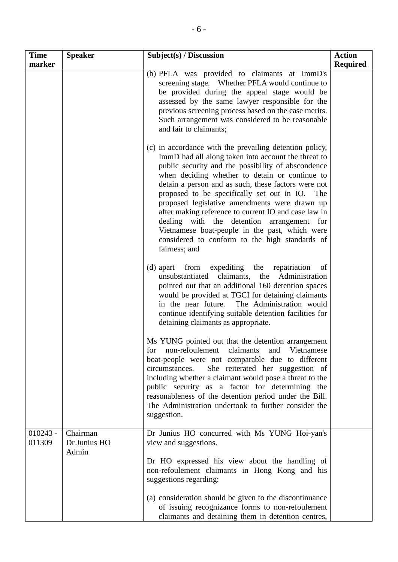| <b>Time</b><br>marker | <b>Speaker</b>                    | Subject(s) / Discussion                                                                                                                                                                                                                                                                                                                                                                                                                                                                                                                                                                                        | <b>Action</b><br><b>Required</b> |
|-----------------------|-----------------------------------|----------------------------------------------------------------------------------------------------------------------------------------------------------------------------------------------------------------------------------------------------------------------------------------------------------------------------------------------------------------------------------------------------------------------------------------------------------------------------------------------------------------------------------------------------------------------------------------------------------------|----------------------------------|
|                       |                                   | (b) PFLA was provided to claimants at ImmD's<br>screening stage. Whether PFLA would continue to<br>be provided during the appeal stage would be<br>assessed by the same lawyer responsible for the<br>previous screening process based on the case merits.<br>Such arrangement was considered to be reasonable<br>and fair to claimants;                                                                                                                                                                                                                                                                       |                                  |
|                       |                                   | (c) in accordance with the prevailing detention policy,<br>ImmD had all along taken into account the threat to<br>public security and the possibility of abscondence<br>when deciding whether to detain or continue to<br>detain a person and as such, these factors were not<br>proposed to be specifically set out in IO.<br>The<br>proposed legislative amendments were drawn up<br>after making reference to current IO and case law in<br>dealing with the detention arrangement for<br>Vietnamese boat-people in the past, which were<br>considered to conform to the high standards of<br>fairness; and |                                  |
|                       |                                   | (d) apart from<br>expediting the repatriation<br>of<br>unsubstantiated<br>claimants, the<br>Administration<br>pointed out that an additional 160 detention spaces<br>would be provided at TGCI for detaining claimants<br>The Administration would<br>in the near future.<br>continue identifying suitable detention facilities for<br>detaining claimants as appropriate.                                                                                                                                                                                                                                     |                                  |
|                       |                                   | Ms YUNG pointed out that the detention arrangement<br>non-refoulement<br>claimants<br>and Vietnamese<br>tor<br>boat-people were not comparable due to different<br>She reiterated her suggestion of<br>circumstances.<br>including whether a claimant would pose a threat to the<br>public security as a factor for determining the<br>reasonableness of the detention period under the Bill.<br>The Administration undertook to further consider the<br>suggestion.                                                                                                                                           |                                  |
| $010243 -$<br>011309  | Chairman<br>Dr Junius HO<br>Admin | Dr Junius HO concurred with Ms YUNG Hoi-yan's<br>view and suggestions.                                                                                                                                                                                                                                                                                                                                                                                                                                                                                                                                         |                                  |
|                       |                                   | Dr HO expressed his view about the handling of<br>non-refoulement claimants in Hong Kong and his<br>suggestions regarding:                                                                                                                                                                                                                                                                                                                                                                                                                                                                                     |                                  |
|                       |                                   | (a) consideration should be given to the discontinuance<br>of issuing recognizance forms to non-refoulement<br>claimants and detaining them in detention centres,                                                                                                                                                                                                                                                                                                                                                                                                                                              |                                  |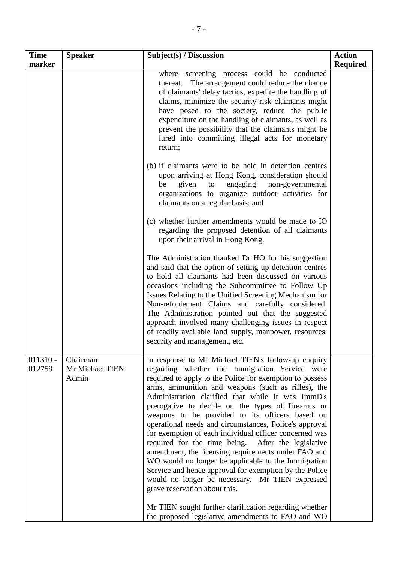| <b>Time</b><br>marker | <b>Speaker</b>                       | Subject(s) / Discussion                                                                                                                                                                                                                                                                                                                                                                                                                                                                                                                                                                                                                                                                                                                                                                                                                                                             | <b>Action</b><br><b>Required</b> |
|-----------------------|--------------------------------------|-------------------------------------------------------------------------------------------------------------------------------------------------------------------------------------------------------------------------------------------------------------------------------------------------------------------------------------------------------------------------------------------------------------------------------------------------------------------------------------------------------------------------------------------------------------------------------------------------------------------------------------------------------------------------------------------------------------------------------------------------------------------------------------------------------------------------------------------------------------------------------------|----------------------------------|
|                       |                                      | where screening process could be conducted<br>The arrangement could reduce the chance<br>thereat.<br>of claimants' delay tactics, expedite the handling of<br>claims, minimize the security risk claimants might<br>have posed to the society, reduce the public<br>expenditure on the handling of claimants, as well as<br>prevent the possibility that the claimants might be<br>lured into committing illegal acts for monetary<br>return;                                                                                                                                                                                                                                                                                                                                                                                                                                       |                                  |
|                       |                                      | (b) if claimants were to be held in detention centres<br>upon arriving at Hong Kong, consideration should<br>given<br>engaging<br>be<br>non-governmental<br>to<br>organizations to organize outdoor activities for<br>claimants on a regular basis; and                                                                                                                                                                                                                                                                                                                                                                                                                                                                                                                                                                                                                             |                                  |
|                       |                                      | (c) whether further amendments would be made to IO<br>regarding the proposed detention of all claimants<br>upon their arrival in Hong Kong.                                                                                                                                                                                                                                                                                                                                                                                                                                                                                                                                                                                                                                                                                                                                         |                                  |
|                       |                                      | The Administration thanked Dr HO for his suggestion<br>and said that the option of setting up detention centres<br>to hold all claimants had been discussed on various<br>occasions including the Subcommittee to Follow Up<br>Issues Relating to the Unified Screening Mechanism for<br>Non-refoulement Claims and carefully considered.<br>The Administration pointed out that the suggested<br>approach involved many challenging issues in respect<br>of readily available land supply, manpower, resources,<br>security and management, etc.                                                                                                                                                                                                                                                                                                                                   |                                  |
| $011310 -$<br>012759  | Chairman<br>Mr Michael TIEN<br>Admin | In response to Mr Michael TIEN's follow-up enquiry<br>regarding whether the Immigration Service were<br>required to apply to the Police for exemption to possess<br>arms, ammunition and weapons (such as rifles), the<br>Administration clarified that while it was ImmD's<br>prerogative to decide on the types of firearms or<br>weapons to be provided to its officers based on<br>operational needs and circumstances, Police's approval<br>for exemption of each individual officer concerned was<br>required for the time being. After the legislative<br>amendment, the licensing requirements under FAO and<br>WO would no longer be applicable to the Immigration<br>Service and hence approval for exemption by the Police<br>would no longer be necessary. Mr TIEN expressed<br>grave reservation about this.<br>Mr TIEN sought further clarification regarding whether |                                  |
|                       |                                      | the proposed legislative amendments to FAO and WO                                                                                                                                                                                                                                                                                                                                                                                                                                                                                                                                                                                                                                                                                                                                                                                                                                   |                                  |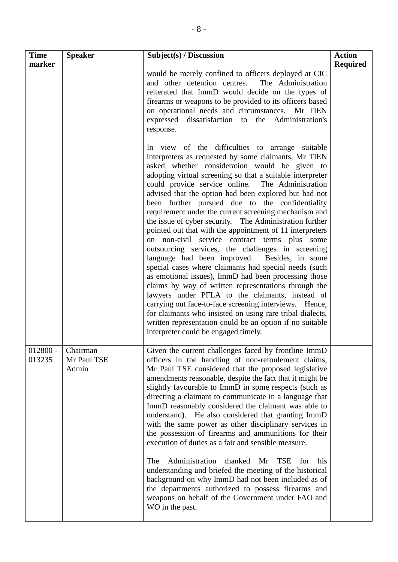| <b>Time</b><br>marker | <b>Speaker</b>                   | Subject(s) / Discussion                                                                                                                                                                                                                                                                                                                                                                                                                                                                                                                                                                                                                                                                                                                                                                                                                                                                                                                                                                                                                                                                                                                                                            | <b>Action</b><br><b>Required</b> |
|-----------------------|----------------------------------|------------------------------------------------------------------------------------------------------------------------------------------------------------------------------------------------------------------------------------------------------------------------------------------------------------------------------------------------------------------------------------------------------------------------------------------------------------------------------------------------------------------------------------------------------------------------------------------------------------------------------------------------------------------------------------------------------------------------------------------------------------------------------------------------------------------------------------------------------------------------------------------------------------------------------------------------------------------------------------------------------------------------------------------------------------------------------------------------------------------------------------------------------------------------------------|----------------------------------|
|                       |                                  | would be merely confined to officers deployed at CIC<br>and other detention centres. The Administration<br>reiterated that ImmD would decide on the types of<br>firearms or weapons to be provided to its officers based<br>on operational needs and circumstances. Mr TIEN<br>dissatisfaction to the Administration's<br>expressed<br>response.                                                                                                                                                                                                                                                                                                                                                                                                                                                                                                                                                                                                                                                                                                                                                                                                                                   |                                  |
|                       |                                  | In view of the difficulties to arrange suitable<br>interpreters as requested by some claimants, Mr TIEN<br>asked whether consideration would be given to<br>adopting virtual screening so that a suitable interpreter<br>could provide service online. The Administration<br>advised that the option had been explored but had not<br>been further pursued due to the confidentiality<br>requirement under the current screening mechanism and<br>the issue of cyber security. The Administration further<br>pointed out that with the appointment of 11 interpreters<br>on non-civil service contract terms plus some<br>outsourcing services, the challenges in screening<br>language had been improved. Besides, in some<br>special cases where claimants had special needs (such<br>as emotional issues), ImmD had been processing those<br>claims by way of written representations through the<br>lawyers under PFLA to the claimants, instead of<br>carrying out face-to-face screening interviews. Hence,<br>for claimants who insisted on using rare tribal dialects,<br>written representation could be an option if no suitable<br>interpreter could be engaged timely. |                                  |
| $012800 -$<br>013235  | Chairman<br>Mr Paul TSE<br>Admin | Given the current challenges faced by frontline ImmD<br>officers in the handling of non-refoulement claims,<br>Mr Paul TSE considered that the proposed legislative<br>amendments reasonable, despite the fact that it might be<br>slightly favourable to ImmD in some respects (such as<br>directing a claimant to communicate in a language that<br>ImmD reasonably considered the claimant was able to<br>understand). He also considered that granting ImmD<br>with the same power as other disciplinary services in<br>the possession of firearms and ammunitions for their<br>execution of duties as a fair and sensible measure.<br>Administration<br>thanked<br>Mr<br><b>TSE</b><br>The<br>his<br>for<br>understanding and briefed the meeting of the historical<br>background on why ImmD had not been included as of<br>the departments authorized to possess firearms and<br>weapons on behalf of the Government under FAO and<br>WO in the past.                                                                                                                                                                                                                       |                                  |